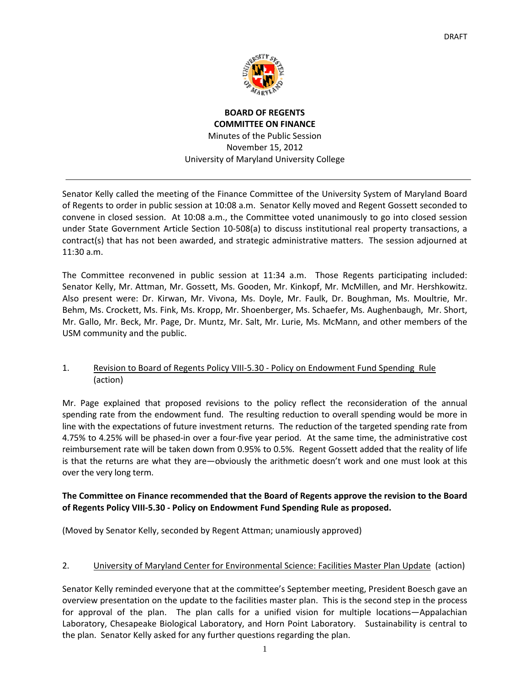

**BOARD OF REGENTS COMMITTEE ON FINANCE** Minutes of the Public Session November 15, 2012 University of Maryland University College

Senator Kelly called the meeting of the Finance Committee of the University System of Maryland Board of Regents to order in public session at 10:08 a.m. Senator Kelly moved and Regent Gossett seconded to convene in closed session. At 10:08 a.m., the Committee voted unanimously to go into closed session under State Government Article Section 10‐508(a) to discuss institutional real property transactions, a contract(s) that has not been awarded, and strategic administrative matters. The session adjourned at 11:30 a.m.

The Committee reconvened in public session at 11:34 a.m. Those Regents participating included: Senator Kelly, Mr. Attman, Mr. Gossett, Ms. Gooden, Mr. Kinkopf, Mr. McMillen, and Mr. Hershkowitz. Also present were: Dr. Kirwan, Mr. Vivona, Ms. Doyle, Mr. Faulk, Dr. Boughman, Ms. Moultrie, Mr. Behm, Ms. Crockett, Ms. Fink, Ms. Kropp, Mr. Shoenberger, Ms. Schaefer, Ms. Aughenbaugh, Mr. Short, Mr. Gallo, Mr. Beck, Mr. Page, Dr. Muntz, Mr. Salt, Mr. Lurie, Ms. McMann, and other members of the USM community and the public.

# 1. Revision to Board of Regents Policy VIII‐5.30 ‐ Policy on Endowment Fund Spending Rule (action)

Mr. Page explained that proposed revisions to the policy reflect the reconsideration of the annual spending rate from the endowment fund. The resulting reduction to overall spending would be more in line with the expectations of future investment returns. The reduction of the targeted spending rate from 4.75% to 4.25% will be phased‐in over a four‐five year period. At the same time, the administrative cost reimbursement rate will be taken down from 0.95% to 0.5%. Regent Gossett added that the reality of life is that the returns are what they are—obviously the arithmetic doesn't work and one must look at this over the very long term.

# **The Committee on Finance recommended that the Board of Regents approve the revision to the Board of Regents Policy VIII‐5.30 ‐ Policy on Endowment Fund Spending Rule as proposed.**

(Moved by Senator Kelly, seconded by Regent Attman; unamiously approved)

# 2. University of Maryland Center for Environmental Science: Facilities Master Plan Update (action)

Senator Kelly reminded everyone that at the committee's September meeting, President Boesch gave an overview presentation on the update to the facilities master plan. This is the second step in the process for approval of the plan. The plan calls for a unified vision for multiple locations—Appalachian Laboratory, Chesapeake Biological Laboratory, and Horn Point Laboratory. Sustainability is central to the plan. Senator Kelly asked for any further questions regarding the plan.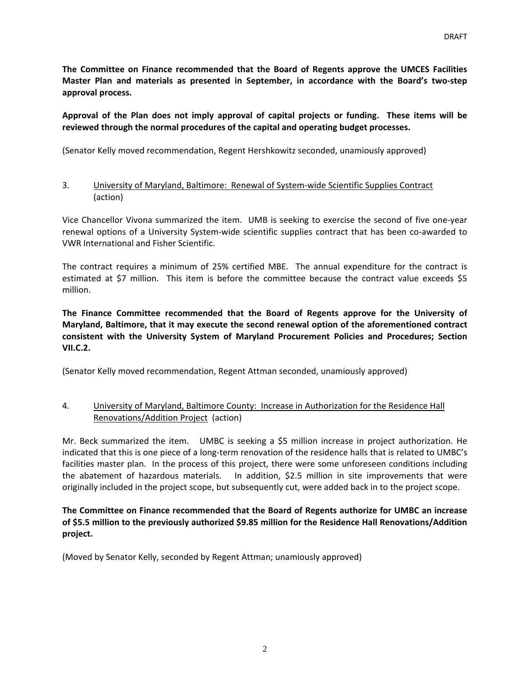**The Committee on Finance recommended that the Board of Regents approve the UMCES Facilities Master Plan and materials as presented in September, in accordance with the Board's two‐step approval process.** 

### Approval of the Plan does not imply approval of capital projects or funding. These items will be **reviewed through the normal procedures of the capital and operating budget processes.**

(Senator Kelly moved recommendation, Regent Hershkowitz seconded, unamiously approved)

#### 3. University of Maryland, Baltimore: Renewal of System‐wide Scientific Supplies Contract (action)

Vice Chancellor Vivona summarized the item. UMB is seeking to exercise the second of five one‐year renewal options of a University System-wide scientific supplies contract that has been co-awarded to VWR International and Fisher Scientific.

The contract requires a minimum of 25% certified MBE. The annual expenditure for the contract is estimated at \$7 million. This item is before the committee because the contract value exceeds \$5 million.

**The Finance Committee recommended that the Board of Regents approve for the University of Maryland, Baltimore, that it may execute the second renewal option of the aforementioned contract consistent with the University System of Maryland Procurement Policies and Procedures; Section VII.C.2.**

(Senator Kelly moved recommendation, Regent Attman seconded, unamiously approved)

# 4. University of Maryland, Baltimore County: Increase in Authorization for the Residence Hall Renovations/Addition Project (action)

Mr. Beck summarized the item. UMBC is seeking a \$5 million increase in project authorization. He indicated that this is one piece of a long-term renovation of the residence halls that is related to UMBC's facilities master plan. In the process of this project, there were some unforeseen conditions including the abatement of hazardous materials. In addition, \$2.5 million in site improvements that were originally included in the project scope, but subsequently cut, were added back in to the project scope.

#### **The Committee on Finance recommended that the Board of Regents authorize for UMBC an increase of \$5.5 million to the previously authorized \$9.85 million for the Residence Hall Renovations/Addition project.**

(Moved by Senator Kelly, seconded by Regent Attman; unamiously approved)